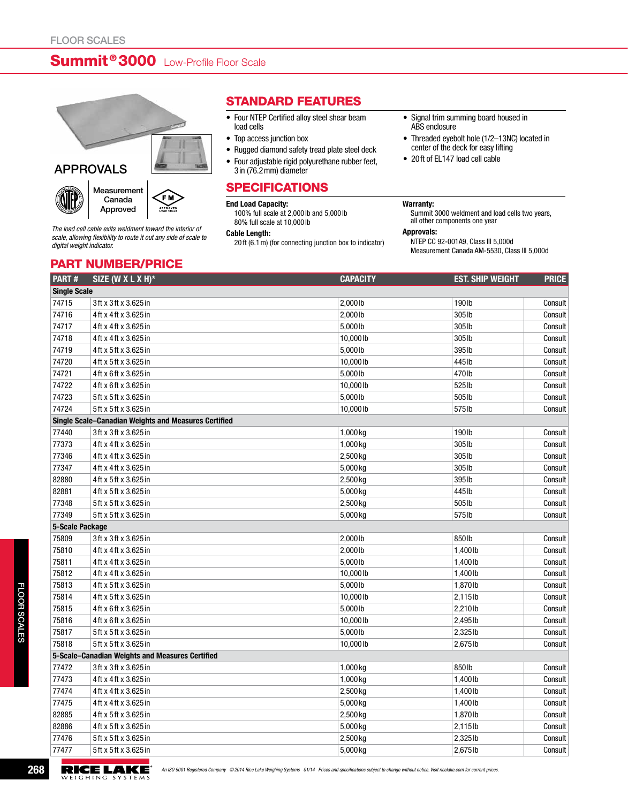# Summit<sup>®</sup> 3000 Low-Profile Floor Scale



## APPROVALS





*The load cell cable exits weldment toward the interior of scale, allowing flexibility to route it out any side of scale to digital weight indicator.*

part number/price

### Standard Features

- • Four NTEP Certified alloy steel shear beam load cells
- Top access junction box
- Rugged diamond safety tread plate steel deck
- Four adjustable rigid polyurethane rubber feet, 3in (76.2mm) diameter

### **SPECIFICATIONS**

#### End Load Capacity:

100% full scale at 2,000 lb and 5,000 lb 80% full scale at 10,000 lb

#### Cable Length:

20 ft (6.1m) (for connecting junction box to indicator)

- Signal trim summing board housed in ABS enclosure
- Threaded eyebolt hole (1/2-13NC) located in center of the deck for easy lifting
- • 20ft of EL147 load cell cable

#### Warranty:

Summit 3000 weldment and load cells two years, all other components one year

Approvals:

NTEP CC 92-001A9, Class III 5,000d Measurement Canada AM-5530, Class III 5,000d

| PART#                                                | SIZE (W X L X H)*                               | <b>CAPACITY</b> | <b>EST. SHIP WEIGHT</b> | <b>PRICE</b> |  |  |
|------------------------------------------------------|-------------------------------------------------|-----------------|-------------------------|--------------|--|--|
| <b>Single Scale</b>                                  |                                                 |                 |                         |              |  |  |
| 74715                                                | 3ft x 3ft x 3.625 in                            | 2,000 lb        | 190 <sub>lb</sub>       | Consult      |  |  |
| 74716                                                | 4ft x 4ft x 3.625 in                            | 2,000 lb        | 305 lb                  | Consult      |  |  |
| 74717                                                | 4ft x 4ft x 3.625 in                            | 5,000 lb        | 305 lb                  | Consult      |  |  |
| 74718                                                | 4ft x 4ft x 3.625 in                            | 10,000 lb       | 305 lb                  | Consult      |  |  |
| 74719                                                | 4ft x 5ft x 3.625 in                            | 5,000 lb        | 395 lb                  | Consult      |  |  |
| 74720                                                | 4ft x 5ft x 3.625 in                            | 10,000 lb       | 445 lb                  | Consult      |  |  |
| 74721                                                | 4ft x 6ft x 3.625 in                            | 5,000 lb        | 470 lb                  | Consult      |  |  |
| 74722                                                | 4ft x 6ft x 3.625 in                            | 10,000 lb       | 525 lb                  | Consult      |  |  |
| 74723                                                | 5ft x 5ft x 3.625 in                            | 5,000 lb        | 505 lb                  | Consult      |  |  |
| 74724                                                | 5ft x 5ft x 3.625 in                            | 10,000 lb       | 575 lb                  | Consult      |  |  |
| Single Scale-Canadian Weights and Measures Certified |                                                 |                 |                         |              |  |  |
| 77440                                                | 3ft x 3ft x 3.625 in                            | 1,000 kg        | 190 lb                  | Consult      |  |  |
| 77373                                                | 4ft x 4ft x 3.625 in                            | 1,000 kg        | 305 lb                  | Consult      |  |  |
| 77346                                                | 4ft x 4ft x 3.625 in                            | 2,500 kg        | 305 lb                  | Consult      |  |  |
| 77347                                                | 4ft x 4ft x 3.625 in                            | 5,000 kg        | 305 lb                  | Consult      |  |  |
| 82880                                                | 4ft x 5ft x 3.625 in                            | 2,500 kg        | 395 lb                  | Consult      |  |  |
| 82881                                                | 4ft x 5ft x 3.625 in                            | 5,000 kg        | 445 lb                  | Consult      |  |  |
| 77348                                                | 5ft x 5ft x 3.625 in                            | 2,500 kg        | 505 lb                  | Consult      |  |  |
| 77349                                                | 5ft x 5ft x 3.625 in                            | 5,000 kg        | 575 lb                  | Consult      |  |  |
| 5-Scale Package                                      |                                                 |                 |                         |              |  |  |
| 75809                                                | 3ft x 3ft x 3.625 in                            | 2,000 lb        | 850lb                   | Consult      |  |  |
| 75810                                                | 4ft x 4ft x 3.625 in                            | 2,000 lb        | 1,400 lb                | Consult      |  |  |
| 75811                                                | 4ft x 4ft x 3.625 in                            | 5,000 lb        | 1,400 lb                | Consult      |  |  |
| 75812                                                | 4ft x 4ft x 3.625 in                            | 10,000 lb       | 1,400 lb                | Consult      |  |  |
| 75813                                                | 4ft x 5ft x 3.625 in                            | 5,000 lb        | 1,870lb                 | Consult      |  |  |
| 75814                                                | 4ft x 5ft x 3.625 in                            | 10,000 lb       | 2,115lb                 | Consult      |  |  |
| 75815                                                | 4ft x 6ft x 3.625 in                            | 5,000 lb        | 2,210lb                 | Consult      |  |  |
| 75816                                                | 4ft x 6ft x 3.625 in                            | 10,000 lb       | 2,495 lb                | Consult      |  |  |
| 75817                                                | 5ft x 5ft x 3.625 in                            | 5,000 lb        | 2,325 lb                | Consult      |  |  |
| 75818                                                | 5ft x 5ft x 3.625 in                            | 10,000 lb       | 2,675 lb                | Consult      |  |  |
|                                                      | 5-Scale-Canadian Weights and Measures Certified |                 |                         |              |  |  |
| 77472                                                | 3ft x 3ft x 3.625 in                            | 1,000 kg        | 850lb                   | Consult      |  |  |
| 77473                                                | 4ft x 4ft x 3.625 in                            | 1,000 kg        | 1,400 lb                | Consult      |  |  |
| 77474                                                | 4ft x 4ft x 3.625 in                            | 2,500 kg        | 1,400 lb                | Consult      |  |  |
| 77475                                                | 4ft x 4ft x 3.625 in                            | 5,000 kg        | 1,400 lb                | Consult      |  |  |
| 82885                                                | 4ft x 5ft x 3.625 in                            | 2,500 kg        | 1,870lb                 | Consult      |  |  |
| 82886                                                | 4ft x 5ft x 3.625 in                            | 5,000 kg        | 2,115lb                 | Consult      |  |  |
| 77476                                                | 5ft x 5ft x 3.625 in                            | 2,500 kg        | 2,325 lb                | Consult      |  |  |
| 77477                                                | 5ft x 5ft x 3.625 in                            | 5,000 kg        | 2,675 lb                | Consult      |  |  |

**268 AN ISO 9001 Registered Company © 2014 Rice Lake Weighing Systems 01/14 Prices and specifications subject to change without notice. Visit ricelake.com for current prices.<br>WEIGHING SYSTEMS**